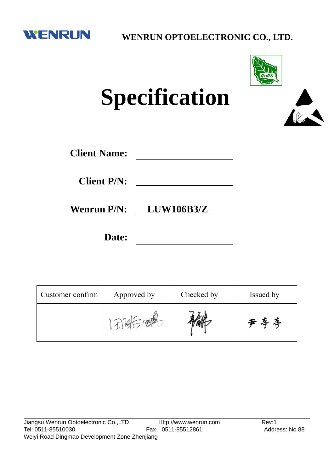



# **Specification**

| <b>Client Name:</b> |  |
|---------------------|--|
|                     |  |

**Client P/N:**

**Wenrun P/N: LUW106B3/Z**

**Date:**

| Customer confirm | Approved by | Checked by | Issued by |
|------------------|-------------|------------|-----------|
|                  |             |            | 尹亭亭       |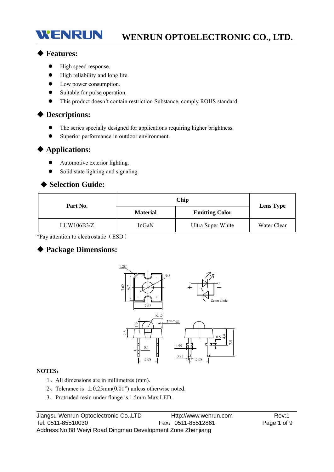# **WENRUN OPTOELECTRONIC CO., LTD.**

#### ◆ **Features:**

WENRUN

- $\bullet$  High speed response.
- High reliability and long life.
- Low power consumption.
- Suitable for pulse operation.
- This product doesn't contain restriction Substance, comply ROHS standard.

#### ◆ **Descriptions:**

- The series specially designed for applications requiring higher brightness.
- Superior performance in outdoor environment.

#### ◆ **Applications:**

- Automotive exterior lighting.
- Solid state lighting and signaling.

#### ◆ **Selection Guide:**

| Part No.   | <b>Material</b> | <b>Emitting Color</b> | <b>Lens Type</b> |  |
|------------|-----------------|-----------------------|------------------|--|
| LUW106B3/Z | InGaN           | Ultra Super White     | Water Clear      |  |

\*Pay attention to electrostatic(ESD)

#### ◆ **Package Dimensions:**



#### **NOTES**:

- 1、All dimensions are in millimetres (mm).
- 2. Tolerance is  $\pm 0.25$ mm $(0.01)$ " unless otherwise noted.
-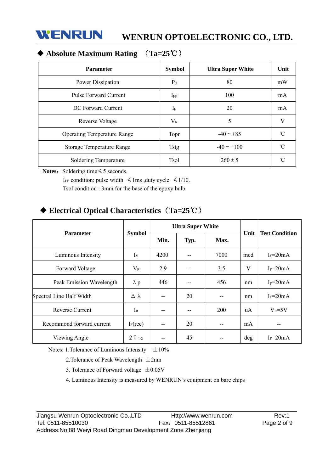

# ◆ **Absolute Maximum Rating** (**Ta=25**℃)

| <b>Parameter</b>                   | <b>Symbol</b> | <b>Ultra Super White</b> | Unit      |
|------------------------------------|---------------|--------------------------|-----------|
| Power Dissipation                  | $P_d$         | 80                       | mW        |
| <b>Pulse Forward Current</b>       | $I_{FP}$      | 100                      | mA        |
| DC Forward Current                 | $I_{\rm F}$   | 20                       | mA        |
| Reverse Voltage                    | $V_{R}$       | 5                        | V         |
| <b>Operating Temperature Range</b> | Topr          | $-40 \sim +85$           | U         |
| Storage Temperature Range          | <b>Tstg</b>   | $-40 \sim +100$          | $\hat{C}$ |
| Soldering Temperature              | <b>Tsol</b>   | $260 \pm 5$              | $\sim$    |

Notes: Soldering time ≤ 5 seconds.

I<sub>FP</sub> condition: pulse width  $\leq 1$ ms ,duty cycle  $\leq 1/10$ .

Tsol condition : 3mm for the base of the epoxy bulb.

# ◆ **Electrical Optical Characteristics**(**Ta=25**℃)

|                           |                  | <b>Ultra Super White</b> |      |      |      |                       |
|---------------------------|------------------|--------------------------|------|------|------|-----------------------|
| <b>Parameter</b>          | <b>Symbol</b>    | Min.                     | Typ. | Max. | Unit | <b>Test Condition</b> |
| Luminous Intensity        | $I_V$            | 4200                     |      | 7000 | mcd  | $I_F = 20mA$          |
| Forward Voltage           | $V_{\rm F}$      | 2.9                      |      | 3.5  | V    | $I_F = 20mA$          |
| Peak Emission Wavelength  | $\lambda$ p      | 446                      |      | 456  | nm   | $I_F = 20mA$          |
| Spectral Line Half Width  | Δλ               | --                       | 20   |      | nm   | $I_F = 20mA$          |
| Reverse Current           | $I_R$            | --                       |      | 200  | uA   | $V_R = 5V$            |
| Recommond forward current | $I_F$ (rec)      | $- -$                    | 20   | $-$  | mA   | $- -$                 |
| Viewing Angle             | $2 \theta_{1/2}$ | --                       | 45   |      | deg  | $I_F = 20mA$          |

Notes: 1. Tolerance of Luminous Intensity  $\pm 10\%$ 

2. Tolerance of Peak Wavelength  $\pm 2$ nm

3. Tolerance of Forward voltage  $\pm 0.05$ V

4. Luminous Intensity is measured by WENRUN's equipment on bare chips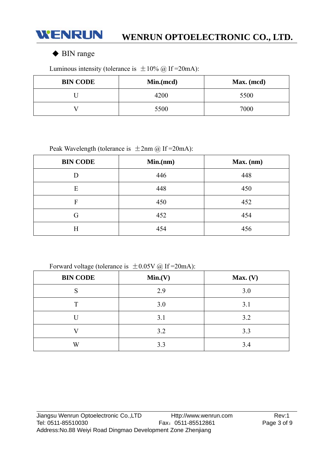

### ◆ BIN range

Luminous intensity (tolerance is  $\pm 10\%$  @ If = 20mA):

| <b>BIN CODE</b> | Min.(mcd) | Max. (mcd) |
|-----------------|-----------|------------|
|                 | 4200      | 5500       |
|                 | 5500      | 7000       |

Peak Wavelength (tolerance is  $\pm 2$ nm @ If = 20mA):

| <b>BIN CODE</b> | Min(nm) | Max. (nm) |
|-----------------|---------|-----------|
| D               | 446     | 448       |
| E               | 448     | 450       |
| F               | 450     | 452       |
| G               | 452     | 454       |
| Η               | 454     | 456       |

Forward voltage (tolerance is  $\pm 0.05V$  @ If = 20mA):

| <b>BIN CODE</b> | Min.(V) | Max. (V) |
|-----------------|---------|----------|
| S               | 2.9     | 3.0      |
| T               | 3.0     | 3.1      |
|                 | 3.1     | 3.2      |
|                 | 3.2     | 3.3      |
| W               | 3.3     | 3.4      |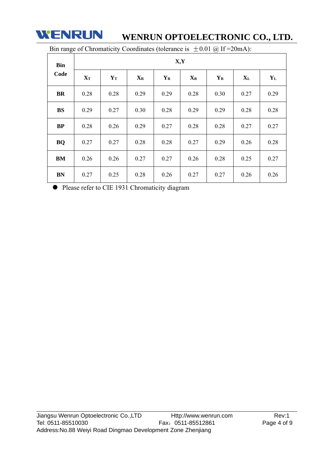

# **WENRUN OPTOELECTRONIC CO., LTD.**

| Bin<br>Code | X, Y              |       |                           |             |       |             |       |         |
|-------------|-------------------|-------|---------------------------|-------------|-------|-------------|-------|---------|
|             | ${\bf X}_{\bf T}$ | $Y_T$ | $\mathbf{X}_{\mathbf{R}}$ | ${\bf Y_R}$ | $X_B$ | ${\bf Y_B}$ | $X_L$ | $Y_{L}$ |
| <b>BR</b>   | 0.28              | 0.28  | 0.29                      | 0.29        | 0.28  | 0.30        | 0.27  | 0.29    |
| <b>BS</b>   | 0.29              | 0.27  | 0.30                      | 0.28        | 0.29  | 0.29        | 0.28  | 0.28    |
| BP          | 0.28              | 0.26  | 0.29                      | 0.27        | 0.28  | 0.28        | 0.27  | 0.27    |
| <b>BQ</b>   | 0.27              | 0.27  | 0.28                      | 0.28        | 0.27  | 0.29        | 0.26  | 0.28    |
| BM          | 0.26              | 0.26  | 0.27                      | 0.27        | 0.26  | 0.28        | 0.25  | 0.27    |
| <b>BN</b>   | 0.27              | 0.25  | 0.28                      | 0.26        | 0.27  | 0.27        | 0.26  | 0.26    |

Bin range of Chromaticity Coordinates (tolerance is  $\pm 0.01$  @ If = 20mA):

Please refer to CIE 1931 Chromaticity diagram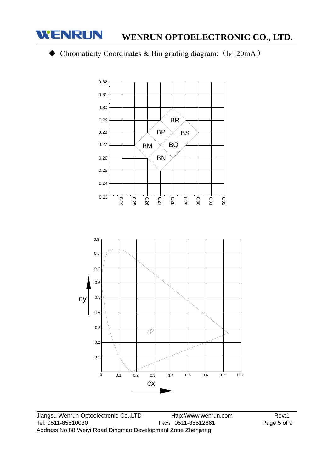

# **WENRUN OPTOELECTRONIC CO., LTD.**

# $\blacklozenge$  Chromaticity Coordinates & Bin grading diagram: (IF=20mA)



0 0.1 0.2 0.3 0.4 0.5 0.6 0.7 0.8

cx

0.1

0.2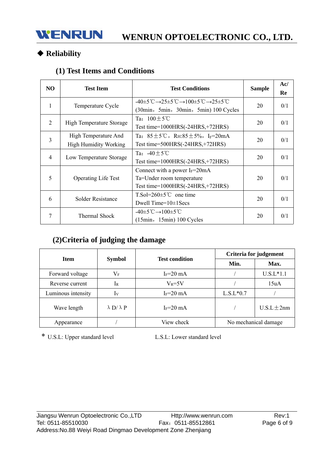# ◆ **Reliability**

# **(1) Test Items and Conditions**

| N <sub>O</sub> | <b>Test Item</b>                                     | <b>Test Conditions</b>                                                                                                                                                       | <b>Sample</b> | Ac/<br>Re |
|----------------|------------------------------------------------------|------------------------------------------------------------------------------------------------------------------------------------------------------------------------------|---------------|-----------|
| 1              | Temperature Cycle                                    | $-40\pm5^{\circ}\text{C} \rightarrow 25\pm5^{\circ}\text{C} \rightarrow 100\pm5^{\circ}\text{C} \rightarrow 25\pm5^{\circ}\text{C}$<br>(30min, 5min, 30min, 5min) 100 Cycles | 20            | 0/1       |
| 2              | High Temperature Storage                             | Ta: $100+5^{\circ}$ C<br>Test time= $1000HRS(-24HRS,+72HRS)$                                                                                                                 | 20            | 0/1       |
| 3              | High Temperature And<br><b>High Humidity Working</b> | Ta: $85 \pm 5^{\circ}$ C, RH: $85 \pm 5\%$ , I <sub>F</sub> =20mA<br>Test time= $500HRS(-24HRS,+72HRS)$                                                                      | 20            | 0/1       |
| 4              | Low Temperature Storage                              | Ta: $-40+5^{\circ}$ C<br>Test time= $1000HRS(-24HRS,+72HRS)$                                                                                                                 | 20            | 0/1       |
| 5              | <b>Operating Life Test</b>                           | Connect with a power $I_F = 20 \text{mA}$<br>Ta=Under room temperature<br>Test time= $1000HRS(-24HRS,+72HRS)$                                                                | 20            | 0/1       |
| 6              | Solder Resistance                                    | $T.So=260\pm5^{\circ}C$ one time<br>Dwell Time= $10\pm1$ Secs                                                                                                                | 20            | 0/1       |
| 7              | Thermal Shock                                        | $-40\pm 5^{\circ}\text{C} \rightarrow 100\pm 5^{\circ}\text{C}$<br>$(15min, 15min) 100$ Cycles                                                                               | 20            | 0/1       |

# **(2)Criteria of judging the damage**

|                    |                          | <b>Test condition</b> | Criteria for judgement |                 |  |
|--------------------|--------------------------|-----------------------|------------------------|-----------------|--|
| <b>Item</b>        | <b>Symbol</b>            |                       | Min.                   | Max.            |  |
| Forward voltage    | $\rm V_F$                | $I_F = 20$ mA         |                        | $U.S.L*1.1$     |  |
| Reverse current    | $1_{R}$                  | $V_R = 5V$            |                        | 15uA            |  |
| Luminous intensity | Iv                       | $I_F = 20$ mA         | $L.S.L*0.7$            |                 |  |
| Wave length        | $\lambda$ D/ $\lambda$ P | $I_F = 20$ mA         |                        | $U.S.L \pm 2nm$ |  |
| Appearance         |                          | View check            | No mechanical damage   |                 |  |

\* U.S.L: Upper standard level L.S.L: Lower standard level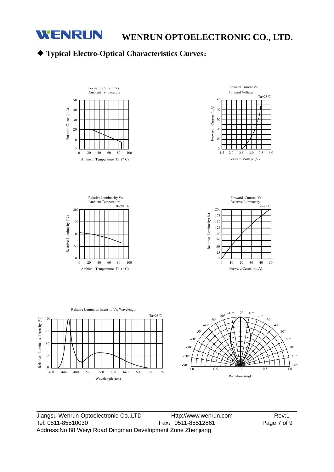

440

Relative Luminous Intensity (%)

Relative Luminous Intensity (%)

25  $\theta$ 400

50

100

75

# ◆ **Typical Electro-Optical Characteristics Curves**:





Jiangsu Wenrun Optoelectronic Co.,LTD Http://www.wenrun.com Rev:1 Tel: 0511-85510030 Fax: 0511-85512861 Page 7 of 9 Address:No.88 Weiyi Road Dingmao Development Zone Zhenjiang

Wavelength (nm)

Ta=25℃

Forward Current Vs.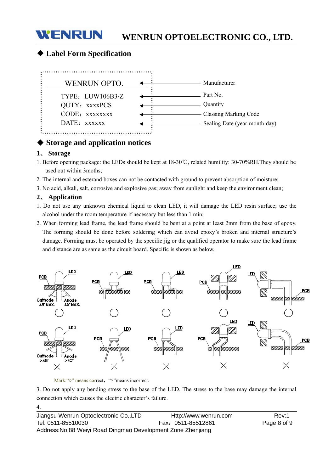#### WENRUN **WENRUN OPTOELECTRONIC CO., LTD.**

#### ◆ **Label Form Specification**



#### ◆ **Storage and application notices**

#### **1**、 **Storage**

- 1. Before opening package: the LEDs should be kept at 18-30℃, related humility: 30-70%RH.They should be used out within 3moths;
- 2. The internal and esterand boxes can not be contacted with ground to prevent absorption of moisture;
- 3. No acid, alkali, salt, corrosive and explosive gas; away from sunlight and keep the environment clean;

#### **2**、 **Application**

4.

- 1. Do not use any unknown chemical liquid to clean LED, it will damage the LED resin surface; use the alcohol under the room temperature if necessary but less than 1 min;
- 2. When forming lead frame, the lead frame should be bent at a point at least 2mm from the base of epoxy. The forming should be done before soldering which can avoid epoxy's broken and internal structure's damage. Forming must be operated by the specific jig or the qualified operator to make sure the lead frame and distance are as same as the circuit board. Specific is shown as below,



Mark:"○" means correct, "×"means incorrect.

3. Do not apply any bending stress to the base of the LED. The stress to the base may damage the internal connection which causes the electric character's failure.

Jiangsu Wenrun Optoelectronic Co.,LTD Http://www.wenrun.com Rev:1 Tel: 0511-85510030 Fax:0511-85512861 Page 8 of 9 Address:No.88 Weiyi Road Dingmao Development Zone Zhenjiang